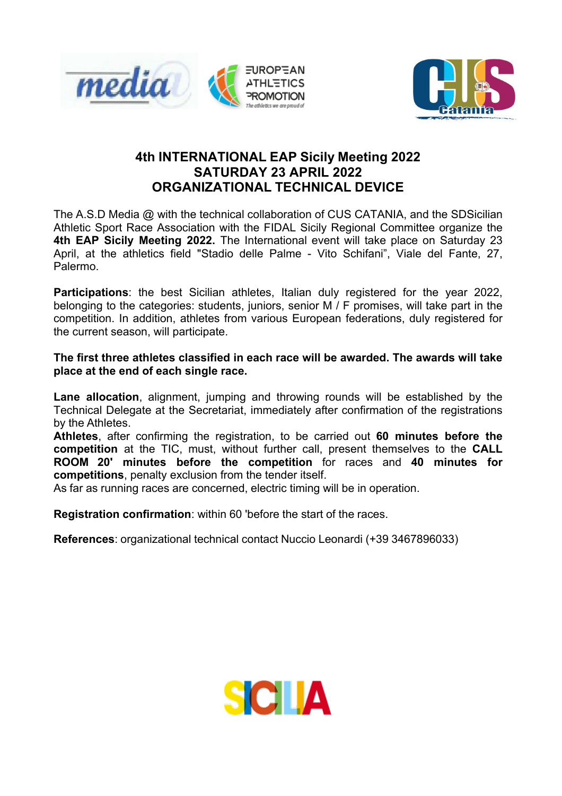



## **4th INTERNATIONAL EAP Sicily Meeting 2022 SATURDAY 23 APRIL 2022 ORGANIZATIONAL TECHNICAL DEVICE**

The A.S.D Media @ with the technical collaboration of CUS CATANIA, and the SDSicilian Athletic Sport Race Association with the FIDAL Sicily Regional Committee organize the **4th EAP Sicily Meeting 2022.** The International event will take place on Saturday 23 April, at the athletics field "Stadio delle Palme - Vito Schifani", Viale del Fante, 27, Palermo.

**Participations**: the best Sicilian athletes, Italian duly registered for the year 2022, belonging to the categories: students, juniors, senior M / F promises, will take part in the competition. In addition, athletes from various European federations, duly registered for the current season, will participate.

## **The first three athletes classified in each race will be awarded. The awards will take place at the end of each single race.**

**Lane allocation**, alignment, jumping and throwing rounds will be established by the Technical Delegate at the Secretariat, immediately after confirmation of the registrations by the Athletes.

**Athletes**, after confirming the registration, to be carried out **60 minutes before the competition** at the TIC, must, without further call, present themselves to the **CALL ROOM 20' minutes before the competition** for races and **40 minutes for competitions**, penalty exclusion from the tender itself.

As far as running races are concerned, electric timing will be in operation.

**Registration confirmation**: within 60 'before the start of the races.

**References**: organizational technical contact Nuccio Leonardi (+39 3467896033)